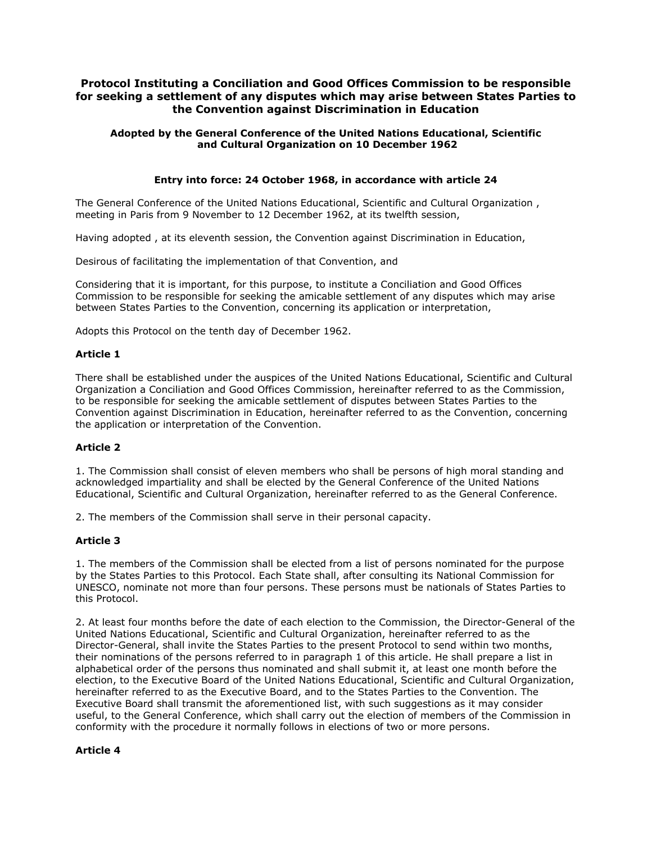# **Protocol Instituting a Conciliation and Good Offices Commission to be responsible for seeking a settlement of any disputes which may arise between States Parties to the Convention against Discrimination in Education**

## **Adopted by the General Conference of the United Nations Educational, Scientific and Cultural Organization on 10 December 1962**

## **Entry into force: 24 October 1968, in accordance with article 24**

The General Conference of the United Nations Educational, Scientific and Cultural Organization , meeting in Paris from 9 November to 12 December 1962, at its twelfth session,

Having adopted , at its eleventh session, the Convention against Discrimination in Education,

Desirous of facilitating the implementation of that Convention, and

Considering that it is important, for this purpose, to institute a Conciliation and Good Offices Commission to be responsible for seeking the amicable settlement of any disputes which may arise between States Parties to the Convention, concerning its application or interpretation,

Adopts this Protocol on the tenth day of December 1962.

## **Article 1**

There shall be established under the auspices of the United Nations Educational, Scientific and Cultural Organization a Conciliation and Good Offices Commission, hereinafter referred to as the Commission, to be responsible for seeking the amicable settlement of disputes between States Parties to the Convention against Discrimination in Education, hereinafter referred to as the Convention, concerning the application or interpretation of the Convention.

## **Article 2**

1. The Commission shall consist of eleven members who shall be persons of high moral standing and acknowledged impartiality and shall be elected by the General Conference of the United Nations Educational, Scientific and Cultural Organization, hereinafter referred to as the General Conference.

2. The members of the Commission shall serve in their personal capacity.

## **Article 3**

1. The members of the Commission shall be elected from a list of persons nominated for the purpose by the States Parties to this Protocol. Each State shall, after consulting its National Commission for UNESCO, nominate not more than four persons. These persons must be nationals of States Parties to this Protocol.

2. At least four months before the date of each election to the Commission, the Director-General of the United Nations Educational, Scientific and Cultural Organization, hereinafter referred to as the Director-General, shall invite the States Parties to the present Protocol to send within two months, their nominations of the persons referred to in paragraph 1 of this article. He shall prepare a list in alphabetical order of the persons thus nominated and shall submit it, at least one month before the election, to the Executive Board of the United Nations Educational, Scientific and Cultural Organization, hereinafter referred to as the Executive Board, and to the States Parties to the Convention. The Executive Board shall transmit the aforementioned list, with such suggestions as it may consider useful, to the General Conference, which shall carry out the election of members of the Commission in conformity with the procedure it normally follows in elections of two or more persons.

## **Article 4**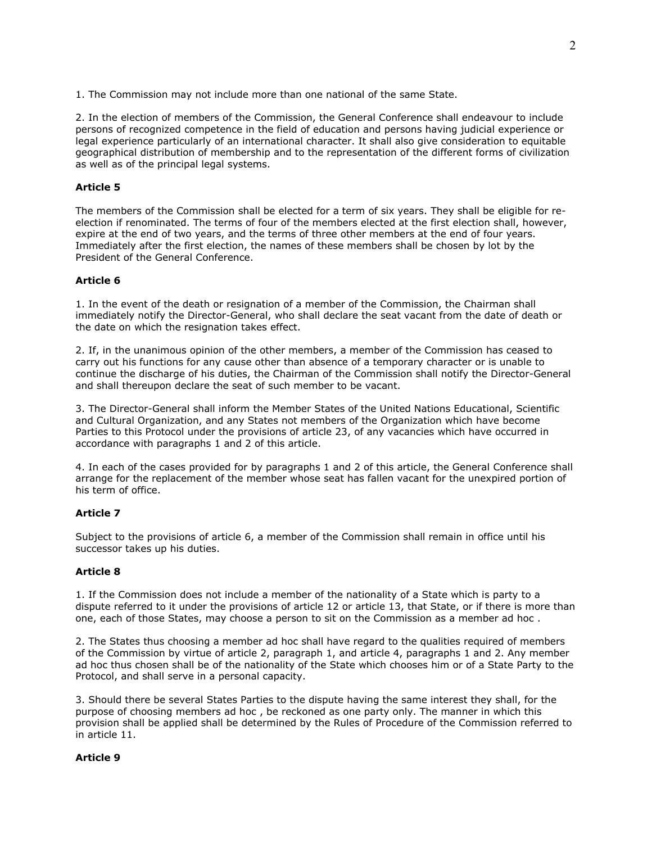1. The Commission may not include more than one national of the same State.

2. In the election of members of the Commission, the General Conference shall endeavour to include persons of recognized competence in the field of education and persons having judicial experience or legal experience particularly of an international character. It shall also give consideration to equitable geographical distribution of membership and to the representation of the different forms of civilization as well as of the principal legal systems.

## **Article 5**

The members of the Commission shall be elected for a term of six years. They shall be eligible for reelection if renominated. The terms of four of the members elected at the first election shall, however, expire at the end of two years, and the terms of three other members at the end of four years. Immediately after the first election, the names of these members shall be chosen by lot by the President of the General Conference.

## **Article 6**

1. In the event of the death or resignation of a member of the Commission, the Chairman shall immediately notify the Director-General, who shall declare the seat vacant from the date of death or the date on which the resignation takes effect.

2. If, in the unanimous opinion of the other members, a member of the Commission has ceased to carry out his functions for any cause other than absence of a temporary character or is unable to continue the discharge of his duties, the Chairman of the Commission shall notify the Director-General and shall thereupon declare the seat of such member to be vacant.

3. The Director-General shall inform the Member States of the United Nations Educational, Scientific and Cultural Organization, and any States not members of the Organization which have become Parties to this Protocol under the provisions of article 23, of any vacancies which have occurred in accordance with paragraphs 1 and 2 of this article.

4. In each of the cases provided for by paragraphs 1 and 2 of this article, the General Conference shall arrange for the replacement of the member whose seat has fallen vacant for the unexpired portion of his term of office.

## **Article 7**

Subject to the provisions of article 6, a member of the Commission shall remain in office until his successor takes up his duties.

## **Article 8**

1. If the Commission does not include a member of the nationality of a State which is party to a dispute referred to it under the provisions of article 12 or article 13, that State, or if there is more than one, each of those States, may choose a person to sit on the Commission as a member ad hoc .

2. The States thus choosing a member ad hoc shall have regard to the qualities required of members of the Commission by virtue of article 2, paragraph 1, and article 4, paragraphs 1 and 2. Any member ad hoc thus chosen shall be of the nationality of the State which chooses him or of a State Party to the Protocol, and shall serve in a personal capacity.

3. Should there be several States Parties to the dispute having the same interest they shall, for the purpose of choosing members ad hoc , be reckoned as one party only. The manner in which this provision shall be applied shall be determined by the Rules of Procedure of the Commission referred to in article 11.

## **Article 9**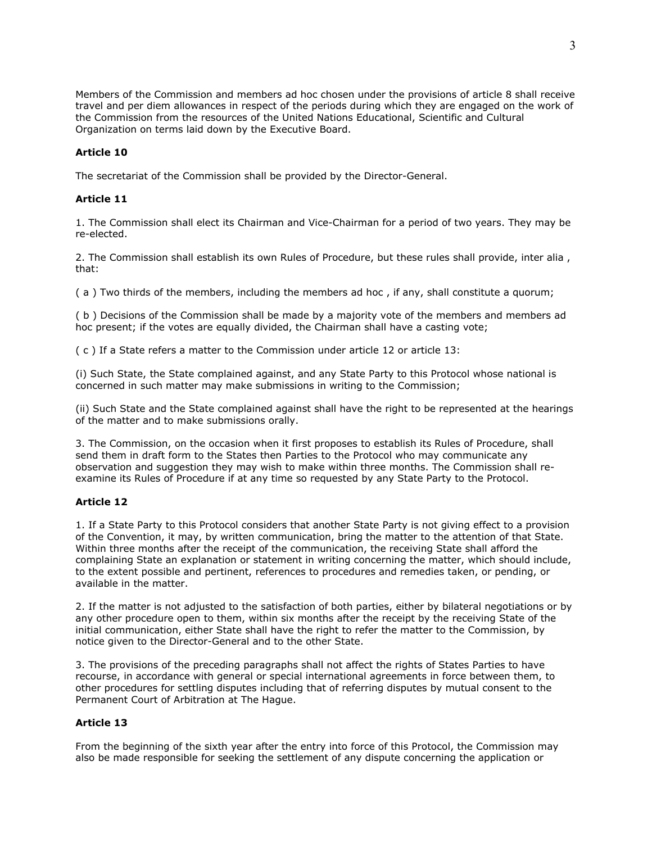Members of the Commission and members ad hoc chosen under the provisions of article 8 shall receive travel and per diem allowances in respect of the periods during which they are engaged on the work of the Commission from the resources of the United Nations Educational, Scientific and Cultural Organization on terms laid down by the Executive Board.

## **Article 10**

The secretariat of the Commission shall be provided by the Director-General.

## **Article 11**

1. The Commission shall elect its Chairman and Vice-Chairman for a period of two years. They may be re-elected.

2. The Commission shall establish its own Rules of Procedure, but these rules shall provide, inter alia , that:

( a ) Two thirds of the members, including the members ad hoc , if any, shall constitute a quorum;

( b ) Decisions of the Commission shall be made by a majority vote of the members and members ad hoc present; if the votes are equally divided, the Chairman shall have a casting vote;

( c ) If a State refers a matter to the Commission under article 12 or article 13:

(i) Such State, the State complained against, and any State Party to this Protocol whose national is concerned in such matter may make submissions in writing to the Commission;

(ii) Such State and the State complained against shall have the right to be represented at the hearings of the matter and to make submissions orally.

3. The Commission, on the occasion when it first proposes to establish its Rules of Procedure, shall send them in draft form to the States then Parties to the Protocol who may communicate any observation and suggestion they may wish to make within three months. The Commission shall reexamine its Rules of Procedure if at any time so requested by any State Party to the Protocol.

## **Article 12**

1. If a State Party to this Protocol considers that another State Party is not giving effect to a provision of the Convention, it may, by written communication, bring the matter to the attention of that State. Within three months after the receipt of the communication, the receiving State shall afford the complaining State an explanation or statement in writing concerning the matter, which should include, to the extent possible and pertinent, references to procedures and remedies taken, or pending, or available in the matter.

2. If the matter is not adjusted to the satisfaction of both parties, either by bilateral negotiations or by any other procedure open to them, within six months after the receipt by the receiving State of the initial communication, either State shall have the right to refer the matter to the Commission, by notice given to the Director-General and to the other State.

3. The provisions of the preceding paragraphs shall not affect the rights of States Parties to have recourse, in accordance with general or special international agreements in force between them, to other procedures for settling disputes including that of referring disputes by mutual consent to the Permanent Court of Arbitration at The Hague.

## **Article 13**

From the beginning of the sixth year after the entry into force of this Protocol, the Commission may also be made responsible for seeking the settlement of any dispute concerning the application or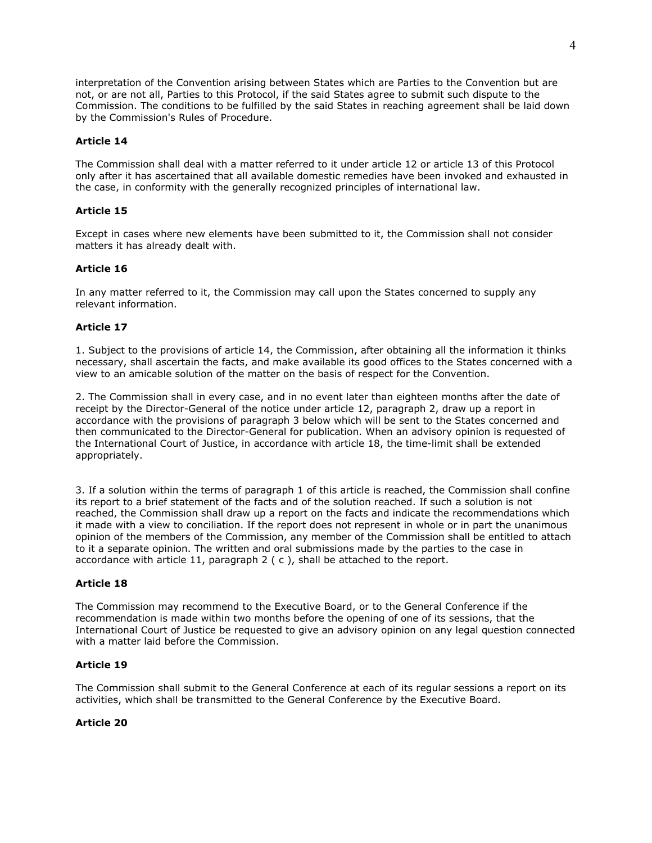interpretation of the Convention arising between States which are Parties to the Convention but are not, or are not all, Parties to this Protocol, if the said States agree to submit such dispute to the Commission. The conditions to be fulfilled by the said States in reaching agreement shall be laid down by the Commission's Rules of Procedure.

## **Article 14**

The Commission shall deal with a matter referred to it under article 12 or article 13 of this Protocol only after it has ascertained that all available domestic remedies have been invoked and exhausted in the case, in conformity with the generally recognized principles of international law.

## **Article 15**

Except in cases where new elements have been submitted to it, the Commission shall not consider matters it has already dealt with.

## **Article 16**

In any matter referred to it, the Commission may call upon the States concerned to supply any relevant information.

## **Article 17**

1. Subject to the provisions of article 14, the Commission, after obtaining all the information it thinks necessary, shall ascertain the facts, and make available its good offices to the States concerned with a view to an amicable solution of the matter on the basis of respect for the Convention.

2. The Commission shall in every case, and in no event later than eighteen months after the date of receipt by the Director-General of the notice under article 12, paragraph 2, draw up a report in accordance with the provisions of paragraph 3 below which will be sent to the States concerned and then communicated to the Director-General for publication. When an advisory opinion is requested of the International Court of Justice, in accordance with article 18, the time-limit shall be extended appropriately.

3. If a solution within the terms of paragraph 1 of this article is reached, the Commission shall confine its report to a brief statement of the facts and of the solution reached. If such a solution is not reached, the Commission shall draw up a report on the facts and indicate the recommendations which it made with a view to conciliation. If the report does not represent in whole or in part the unanimous opinion of the members of the Commission, any member of the Commission shall be entitled to attach to it a separate opinion. The written and oral submissions made by the parties to the case in accordance with article 11, paragraph 2  $( c )$ , shall be attached to the report.

## **Article 18**

The Commission may recommend to the Executive Board, or to the General Conference if the recommendation is made within two months before the opening of one of its sessions, that the International Court of Justice be requested to give an advisory opinion on any legal question connected with a matter laid before the Commission.

## **Article 19**

The Commission shall submit to the General Conference at each of its regular sessions a report on its activities, which shall be transmitted to the General Conference by the Executive Board.

## **Article 20**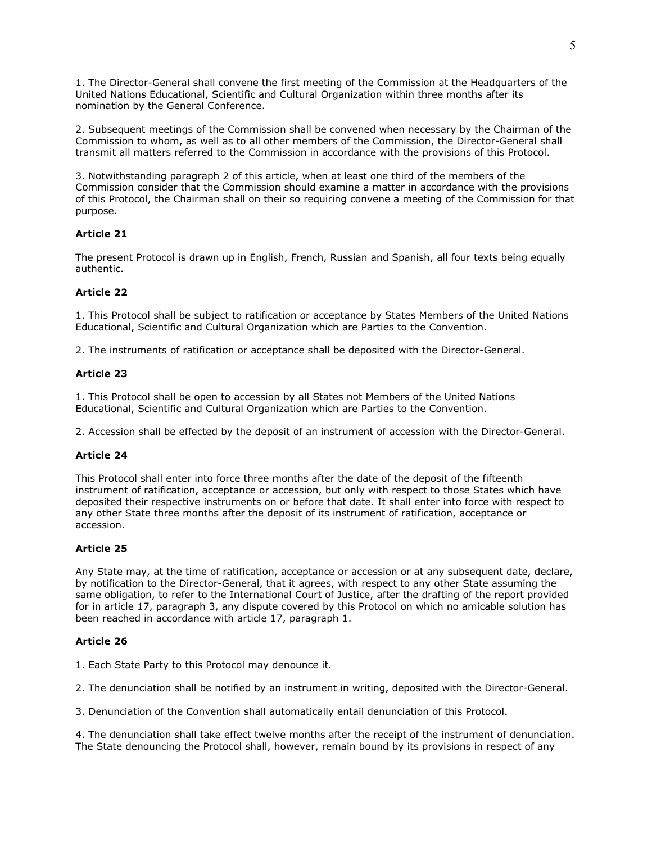1. The Director-General shall convene the first meeting of the Commission at the Headquarters of the United Nations Educational, Scientific and Cultural Organization within three months after its nomination by the General Conference.

2. Subsequent meetings of the Commission shall be convened when necessary by the Chairman of the Commission to whom, as well as to all other members of the Commission, the Director-General shall transmit all matters referred to the Commission in accordance with the provisions of this Protocol.

3. Notwithstanding paragraph 2 of this article, when at least one third of the members of the Commission consider that the Commission should examine a matter in accordance with the provisions of this Protocol, the Chairman shall on their so requiring convene a meeting of the Commission for that purpose.

## **Article 21**

The present Protocol is drawn up in English, French, Russian and Spanish, all four texts being equally authentic.

## **Article 22**

1. This Protocol shall be subject to ratification or acceptance by States Members of the United Nations Educational, Scientific and Cultural Organization which are Parties to the Convention.

2. The instruments of ratification or acceptance shall be deposited with the Director-General.

#### **Article 23**

1. This Protocol shall be open to accession by all States not Members of the United Nations Educational, Scientific and Cultural Organization which are Parties to the Convention.

2. Accession shall be effected by the deposit of an instrument of accession with the Director-General.

#### **Article 24**

This Protocol shall enter into force three months after the date of the deposit of the fifteenth instrument of ratification, acceptance or accession, but only with respect to those States which have deposited their respective instruments on or before that date. It shall enter into force with respect to any other State three months after the deposit of its instrument of ratification, acceptance or accession.

#### **Article 25**

Any State may, at the time of ratification, acceptance or accession or at any subsequent date, declare, by notification to the Director-General, that it agrees, with respect to any other State assuming the same obligation, to refer to the International Court of Justice, after the drafting of the report provided for in article 17, paragraph 3, any dispute covered by this Protocol on which no amicable solution has been reached in accordance with article 17, paragraph 1.

## **Article 26**

1. Each State Party to this Protocol may denounce it.

2. The denunciation shall be notified by an instrument in writing, deposited with the Director-General.

3. Denunciation of the Convention shall automatically entail denunciation of this Protocol.

4. The denunciation shall take effect twelve months after the receipt of the instrument of denunciation. The State denouncing the Protocol shall, however, remain bound by its provisions in respect of any